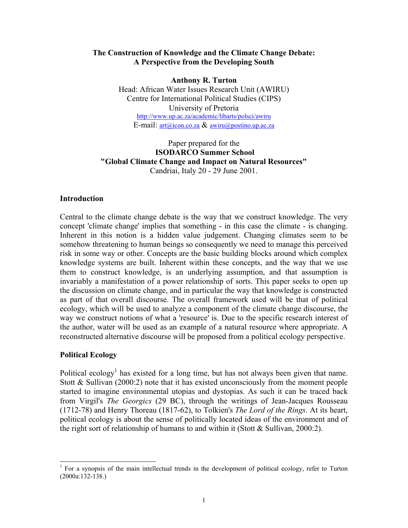## **The Construction of Knowledge and the Climate Change Debate: A Perspective from the Developing South**

**Anthony R. Turton** 

Head: African Water Issues Research Unit (AWIRU) Centre for International Political Studies (CIPS) University of Pretoria <http://www.up.ac.za/academic/libarts/polsci/awiru> E-mail: [art@icon.co.za](mailto:art@icon.co.za) & [awiru@postino.up.ac.za](mailto:awiru@postino.up.ac.za)

## Paper prepared for the **ISODARCO Summer School "Global Climate Change and Impact on Natural Resources"**  Candriai, Italy 20 - 29 June 2001.

## **Introduction**

Central to the climate change debate is the way that we construct knowledge. The very concept 'climate change' implies that something - in this case the climate - is changing. Inherent in this notion is a hidden value judgement. Changing climates seem to be somehow threatening to human beings so consequently we need to manage this perceived risk in some way or other. Concepts are the basic building blocks around which complex knowledge systems are built. Inherent within these concepts, and the way that we use them to construct knowledge, is an underlying assumption, and that assumption is invariably a manifestation of a power relationship of sorts. This paper seeks to open up the discussion on climate change, and in particular the way that knowledge is constructed as part of that overall discourse. The overall framework used will be that of political ecology, which will be used to analyze a component of the climate change discourse, the way we construct notions of what a 'resource' is. Due to the specific research interest of the author, water will be used as an example of a natural resource where appropriate. A reconstructed alternative discourse will be proposed from a political ecology perspective.

## **Political Ecology**

Political ecology<sup>[1](#page-0-0)</sup> has existed for a long time, but has not always been given that name. Stott  $\&$  Sullivan (2000:2) note that it has existed unconsciously from the moment people started to imagine environmental utopias and dystopias. As such it can be traced back from Virgil's *The Georgics* (29 BC), through the writings of Jean-Jacques Rousseau (1712-78) and Henry Thoreau (1817-62), to Tolkien's *The Lord of the Rings*. At its heart, political ecology is about the sense of politically located ideas of the environment and of the right sort of relationship of humans to and within it (Stott  $&$  Sullivan, 2000:2).

<span id="page-0-0"></span><sup>|&</sup>lt;br>|<br>| For a synopsis of the main intellectual trends in the development of political ecology, refer to Turton (2000a:132-138.)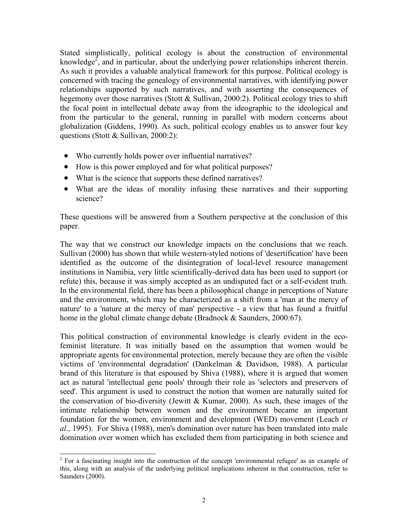Stated simplistically, political ecology is about the construction of environmental knowledge<sup>[2](#page-1-0)</sup>, and in particular, about the underlying power relationships inherent therein. As such it provides a valuable analytical framework for this purpose. Political ecology is concerned with tracing the genealogy of environmental narratives, with identifying power relationships supported by such narratives, and with asserting the consequences of hegemony over those narratives (Stott & Sullivan, 2000:2). Political ecology tries to shift the focal point in intellectual debate away from the ideographic to the ideological and from the particular to the general, running in parallel with modern concerns about globalization (Giddens, 1990). As such, political ecology enables us to answer four key questions (Stott & Sullivan, 2000:2):

- Who currently holds power over influential narratives?
- $\bullet$ How is this power employed and for what political purposes?
- What is the science that supports these defined narratives?
- What are the ideas of morality infusing these narratives and their supporting science?

These questions will be answered from a Southern perspective at the conclusion of this paper.

The way that we construct our knowledge impacts on the conclusions that we reach. Sullivan (2000) has shown that while western-styled notions of 'desertification' have been identified as the outcome of the disintegration of local-level resource management institutions in Namibia, very little scientifically-derived data has been used to support (or refute) this, because it was simply accepted as an undisputed fact or a self-evident truth. In the environmental field, there has been a philosophical change in perceptions of Nature and the environment, which may be characterized as a shift from a 'man at the mercy of nature' to a 'nature at the mercy of man' perspective - a view that has found a fruitful home in the global climate change debate (Bradnock & Saunders, 2000:67).

This political construction of environmental knowledge is clearly evident in the ecofeminist literature. It was initially based on the assumption that women would be appropriate agents for environmental protection, merely because they are often the visible victims of 'environmental degradation' (Dankelman & Davidson, 1988). A particular brand of this literature is that espoused by Shiva (1988), where it is argued that women act as natural 'intellectual gene pools' through their role as 'selectors and preservers of seed'. This argument is used to construct the notion that women are naturally suited for the conservation of bio-diversity (Jewitt  $& Kumar, 2000$ ). As such, these images of the intimate relationship between women and the environment became an important foundation for the women, environment and development (WED) movement (Leach *et al*., 1995). For Shiva (1988), men's domination over nature has been translated into male domination over women which has excluded them from participating in both science and

<span id="page-1-0"></span><sup>&</sup>lt;sup>2</sup> For a fascinating insight into the construction of the concept 'environmental refugee' as an example of this, along with an analysis of the underlying political implications inherent in that construction, refer to Saunders (2000).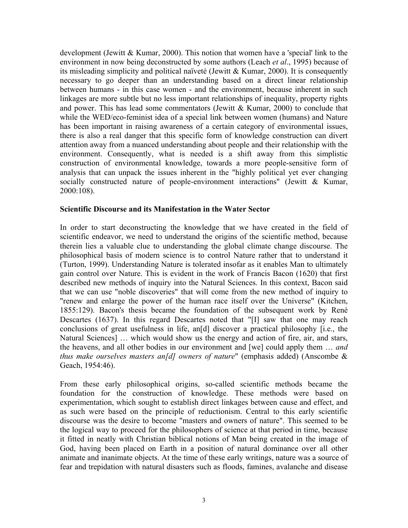development (Jewitt & Kumar, 2000). This notion that women have a 'special' link to the environment in now being deconstructed by some authors (Leach *et al*., 1995) because of its misleading simplicity and political naïveté (Jewitt & Kumar, 2000). It is consequently necessary to go deeper than an understanding based on a direct linear relationship between humans - in this case women - and the environment, because inherent in such linkages are more subtle but no less important relationships of inequality, property rights and power. This has lead some commentators (Jewitt  $& Kumar, 2000$ ) to conclude that while the WED/eco-feminist idea of a special link between women (humans) and Nature has been important in raising awareness of a certain category of environmental issues, there is also a real danger that this specific form of knowledge construction can divert attention away from a nuanced understanding about people and their relationship with the environment. Consequently, what is needed is a shift away from this simplistic construction of environmental knowledge, towards a more people-sensitive form of analysis that can unpack the issues inherent in the "highly political yet ever changing socially constructed nature of people-environment interactions" (Jewitt & Kumar, 2000:108).

#### **Scientific Discourse and its Manifestation in the Water Sector**

In order to start deconstructing the knowledge that we have created in the field of scientific endeavor, we need to understand the origins of the scientific method, because therein lies a valuable clue to understanding the global climate change discourse. The philosophical basis of modern science is to control Nature rather that to understand it (Turton, 1999). Understanding Nature is tolerated insofar as it enables Man to ultimately gain control over Nature. This is evident in the work of Francis Bacon (1620) that first described new methods of inquiry into the Natural Sciences. In this context, Bacon said that we can use "noble discoveries" that will come from the new method of inquiry to "renew and enlarge the power of the human race itself over the Universe" (Kitchen, 1855:129). Bacon's thesis became the foundation of the subsequent work by René Descartes (1637). In this regard Descartes noted that "[I] saw that one may reach conclusions of great usefulness in life, an[d] discover a practical philosophy [i.e., the Natural Sciences] … which would show us the energy and action of fire, air, and stars, the heavens, and all other bodies in our environment and [we] could apply them … *and thus make ourselves masters an[d] owners of nature*" (emphasis added) (Anscombe & Geach, 1954:46).

From these early philosophical origins, so-called scientific methods became the foundation for the construction of knowledge. These methods were based on experimentation, which sought to establish direct linkages between cause and effect, and as such were based on the principle of reductionism. Central to this early scientific discourse was the desire to become "masters and owners of nature". This seemed to be the logical way to proceed for the philosophers of science at that period in time, because it fitted in neatly with Christian biblical notions of Man being created in the image of God, having been placed on Earth in a position of natural dominance over all other animate and inanimate objects. At the time of these early writings, nature was a source of fear and trepidation with natural disasters such as floods, famines, avalanche and disease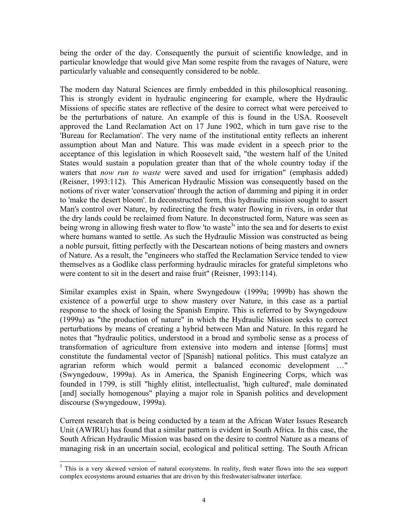being the order of the day. Consequently the pursuit of scientific knowledge, and in particular knowledge that would give Man some respite from the ravages of Nature, were particularly valuable and consequently considered to be noble.

The modern day Natural Sciences are firmly embedded in this philosophical reasoning. This is strongly evident in hydraulic engineering for example, where the Hydraulic Missions of specific states are reflective of the desire to correct what were perceived to be the perturbations of nature. An example of this is found in the USA. Roosevelt approved the Land Reclamation Act on 17 June 1902, which in turn gave rise to the 'Bureau for Reclamation'. The very name of the institutional entity reflects an inherent assumption about Man and Nature. This was made evident in a speech prior to the acceptance of this legislation in which Roosevelt said, "the western half of the United States would sustain a population greater than that of the whole country today if the waters that *now run to waste* were saved and used for irrigation" (emphasis added) (Reisner, 1993:112). This American Hydraulic Mission was consequently based on the notions of river water 'conservation' through the action of damming and piping it in order to 'make the desert bloom'. In deconstructed form, this hydraulic mission sought to assert Man's control over Nature, by redirecting the fresh water flowing in rivers, in order that the dry lands could be reclaimed from Nature. In deconstructed form, Nature was seen as being wrong in allowing fresh water to flow 'to waste<sup>[3](#page-3-0)</sup>' into the sea and for deserts to exist where humans wanted to settle. As such the Hydraulic Mission was constructed as being a noble pursuit, fitting perfectly with the Descartean notions of being masters and owners of Nature. As a result, the "engineers who staffed the Reclamation Service tended to view themselves as a Godlike class performing hydraulic miracles for grateful simpletons who were content to sit in the desert and raise fruit" (Reisner, 1993:114).

Similar examples exist in Spain, where Swyngedouw (1999a; 1999b) has shown the existence of a powerful urge to show mastery over Nature, in this case as a partial response to the shock of losing the Spanish Empire. This is referred to by Swyngedouw (1999a) as "the production of nature" in which the Hydraulic Mission seeks to correct perturbations by means of creating a hybrid between Man and Nature. In this regard he notes that "hydraulic politics, understood in a broad and symbolic sense as a process of transformation of agriculture from extensive into modern and intense [forms] must constitute the fundamental vector of [Spanish] national politics. This must catalyze an agrarian reform which would permit a balanced economic development …" (Swyngedouw, 1999a). As in America, the Spanish Engineering Corps, which was founded in 1799, is still "highly elitist, intellectualist, 'high cultured', male dominated [and] socially homogenous" playing a major role in Spanish politics and development discourse (Swyngedouw, 1999a).

Current research that is being conducted by a team at the African Water Issues Research Unit (AWIRU) has found that a similar pattern is evident in South Africa. In this case, the South African Hydraulic Mission was based on the desire to control Nature as a means of managing risk in an uncertain social, ecological and political setting. The South African

<span id="page-3-0"></span> <sup>3</sup> <sup>3</sup> This is a very skewed version of natural ecosystems. In reality, fresh water flows into the sea support complex ecosystems around estuaries that are driven by this freshwater/saltwater interface.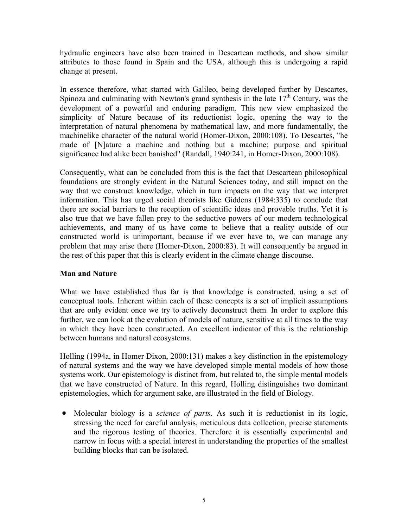hydraulic engineers have also been trained in Descartean methods, and show similar attributes to those found in Spain and the USA, although this is undergoing a rapid change at present.

In essence therefore, what started with Galileo, being developed further by Descartes, Spinoza and culminating with Newton's grand synthesis in the late  $17<sup>th</sup>$  Century, was the development of a powerful and enduring paradigm. This new view emphasized the simplicity of Nature because of its reductionist logic, opening the way to the interpretation of natural phenomena by mathematical law, and more fundamentally, the machinelike character of the natural world (Homer-Dixon, 2000:108). To Descartes, "he made of [N]ature a machine and nothing but a machine; purpose and spiritual significance had alike been banished" (Randall, 1940:241, in Homer-Dixon, 2000:108).

Consequently, what can be concluded from this is the fact that Descartean philosophical foundations are strongly evident in the Natural Sciences today, and still impact on the way that we construct knowledge, which in turn impacts on the way that we interpret information. This has urged social theorists like Giddens (1984:335) to conclude that there are social barriers to the reception of scientific ideas and provable truths. Yet it is also true that we have fallen prey to the seductive powers of our modern technological achievements, and many of us have come to believe that a reality outside of our constructed world is unimportant, because if we ever have to, we can manage any problem that may arise there (Homer-Dixon, 2000:83). It will consequently be argued in the rest of this paper that this is clearly evident in the climate change discourse.

# **Man and Nature**

What we have established thus far is that knowledge is constructed, using a set of conceptual tools. Inherent within each of these concepts is a set of implicit assumptions that are only evident once we try to actively deconstruct them. In order to explore this further, we can look at the evolution of models of nature, sensitive at all times to the way in which they have been constructed. An excellent indicator of this is the relationship between humans and natural ecosystems.

Holling (1994a, in Homer Dixon, 2000:131) makes a key distinction in the epistemology of natural systems and the way we have developed simple mental models of how those systems work. Our epistemology is distinct from, but related to, the simple mental models that we have constructed of Nature. In this regard, Holling distinguishes two dominant epistemologies, which for argument sake, are illustrated in the field of Biology.

• Molecular biology is a *science of parts*. As such it is reductionist in its logic, stressing the need for careful analysis, meticulous data collection, precise statements and the rigorous testing of theories. Therefore it is essentially experimental and narrow in focus with a special interest in understanding the properties of the smallest building blocks that can be isolated.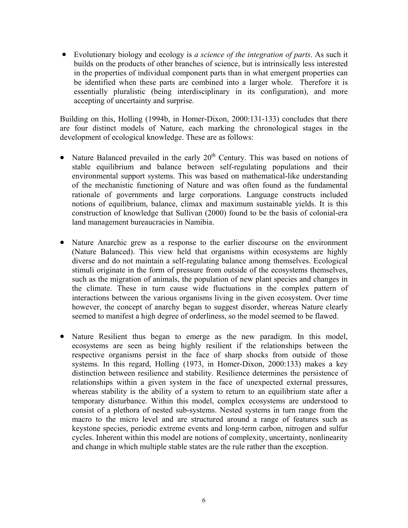• Evolutionary biology and ecology is *a science of the integration of parts*. As such it builds on the products of other branches of science, but is intrinsically less interested in the properties of individual component parts than in what emergent properties can be identified when these parts are combined into a larger whole. Therefore it is essentially pluralistic (being interdisciplinary in its configuration), and more accepting of uncertainty and surprise.

Building on this, Holling (1994b, in Homer-Dixon, 2000:131-133) concludes that there are four distinct models of Nature, each marking the chronological stages in the development of ecological knowledge. These are as follows:

- Nature Balanced prevailed in the early  $20<sup>th</sup>$  Century. This was based on notions of stable equilibrium and balance between self-regulating populations and their environmental support systems. This was based on mathematical-like understanding of the mechanistic functioning of Nature and was often found as the fundamental rationale of governments and large corporations. Language constructs included notions of equilibrium, balance, climax and maximum sustainable yields. It is this construction of knowledge that Sullivan (2000) found to be the basis of colonial-era land management bureaucracies in Namibia.
- Nature Anarchic grew as a response to the earlier discourse on the environment (Nature Balanced). This view held that organisms within ecosystems are highly diverse and do not maintain a self-regulating balance among themselves. Ecological stimuli originate in the form of pressure from outside of the ecosystems themselves, such as the migration of animals, the population of new plant species and changes in the climate. These in turn cause wide fluctuations in the complex pattern of interactions between the various organisms living in the given ecosystem. Over time however, the concept of anarchy began to suggest disorder, whereas Nature clearly seemed to manifest a high degree of orderliness, so the model seemed to be flawed.
- Nature Resilient thus began to emerge as the new paradigm. In this model, ecosystems are seen as being highly resilient if the relationships between the respective organisms persist in the face of sharp shocks from outside of those systems. In this regard, Holling (1973, in Homer-Dixon, 2000:133) makes a key distinction between resilience and stability. Resilience determines the persistence of relationships within a given system in the face of unexpected external pressures, whereas stability is the ability of a system to return to an equilibrium state after a temporary disturbance. Within this model, complex ecosystems are understood to consist of a plethora of nested sub-systems. Nested systems in turn range from the macro to the micro level and are structured around a range of features such as keystone species, periodic extreme events and long-term carbon, nitrogen and sulfur cycles. Inherent within this model are notions of complexity, uncertainty, nonlinearity and change in which multiple stable states are the rule rather than the exception.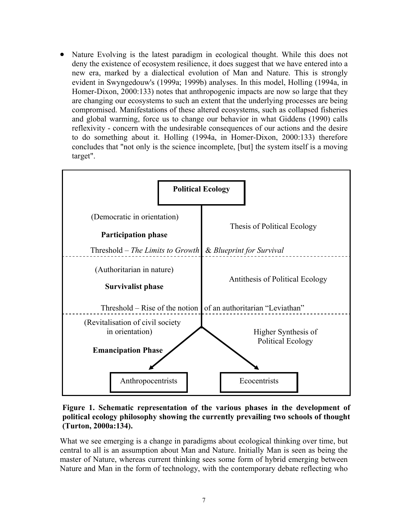• Nature Evolving is the latest paradigm in ecological thought. While this does not deny the existence of ecosystem resilience, it does suggest that we have entered into a new era, marked by a dialectical evolution of Man and Nature. This is strongly evident in Swyngedouw's (1999a; 1999b) analyses. In this model, Holling (1994a, in Homer-Dixon, 2000:133) notes that anthropogenic impacts are now so large that they are changing our ecosystems to such an extent that the underlying processes are being compromised. Manifestations of these altered ecosystems, such as collapsed fisheries and global warming, force us to change our behavior in what Giddens (1990) calls reflexivity - concern with the undesirable consequences of our actions and the desire to do something about it. Holling (1994a, in Homer-Dixon, 2000:133) therefore concludes that "not only is the science incomplete, [but] the system itself is a moving target".



**Figure 1. Schematic representation of the various phases in the development of political ecology philosophy showing the currently prevailing two schools of thought (Turton, 2000a:134).** 

What we see emerging is a change in paradigms about ecological thinking over time, but central to all is an assumption about Man and Nature. Initially Man is seen as being the master of Nature, whereas current thinking sees some form of hybrid emerging between Nature and Man in the form of technology, with the contemporary debate reflecting who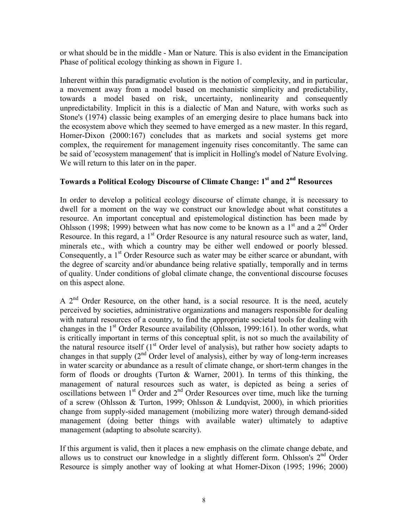or what should be in the middle - Man or Nature. This is also evident in the Emancipation Phase of political ecology thinking as shown in Figure 1.

Inherent within this paradigmatic evolution is the notion of complexity, and in particular, a movement away from a model based on mechanistic simplicity and predictability, towards a model based on risk, uncertainty, nonlinearity and consequently unpredictability. Implicit in this is a dialectic of Man and Nature, with works such as Stone's (1974) classic being examples of an emerging desire to place humans back into the ecosystem above which they seemed to have emerged as a new master. In this regard, Homer-Dixon (2000:167) concludes that as markets and social systems get more complex, the requirement for management ingenuity rises concomitantly. The same can be said of 'ecosystem management' that is implicit in Holling's model of Nature Evolving. We will return to this later on in the paper.

# **Towards a Political Ecology Discourse of Climate Change: 1st and 2nd Resources**

In order to develop a political ecology discourse of climate change, it is necessary to dwell for a moment on the way we construct our knowledge about what constitutes a resource. An important conceptual and epistemological distinction has been made by Ohlsson (1998; 1999) between what has now come to be known as a  $1<sup>st</sup>$  and a  $2<sup>nd</sup>$  Order Resource. In this regard, a  $1<sup>st</sup>$  Order Resource is any natural resource such as water, land, minerals etc., with which a country may be either well endowed or poorly blessed. Consequently, a  $1<sup>st</sup>$  Order Resource such as water may be either scarce or abundant, with the degree of scarcity and/or abundance being relative spatially, temporally and in terms of quality. Under conditions of global climate change, the conventional discourse focuses on this aspect alone.

A 2<sup>nd</sup> Order Resource, on the other hand, is a social resource. It is the need, acutely perceived by societies, administrative organizations and managers responsible for dealing with natural resources of a country, to find the appropriate societal tools for dealing with changes in the  $1<sup>st</sup>$  Order Resource availability (Ohlsson, 1999:161). In other words, what is critically important in terms of this conceptual split, is not so much the availability of the natural resource itself  $(1<sup>st</sup>$  Order level of analysis), but rather how society adapts to changes in that supply  $(2<sup>nd</sup> Order level of analysis)$ , either by way of long-term increases in water scarcity or abundance as a result of climate change, or short-term changes in the form of floods or droughts (Turton & Warner, 2001). In terms of this thinking, the management of natural resources such as water, is depicted as being a series of oscillations between 1<sup>st</sup> Order and 2<sup>nd</sup> Order Resources over time, much like the turning of a screw (Ohlsson & Turton, 1999; Ohlsson & Lundqvist, 2000), in which priorities change from supply-sided management (mobilizing more water) through demand-sided management (doing better things with available water) ultimately to adaptive management (adapting to absolute scarcity).

If this argument is valid, then it places a new emphasis on the climate change debate, and allows us to construct our knowledge in a slightly different form. Ohlsson's  $2<sup>nd</sup>$  Order Resource is simply another way of looking at what Homer-Dixon (1995; 1996; 2000)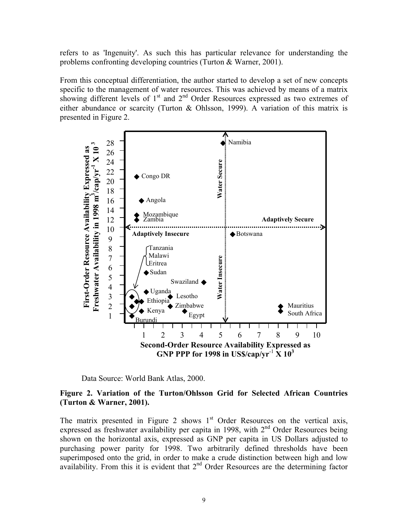refers to as 'Ingenuity'. As such this has particular relevance for understanding the problems confronting developing countries (Turton & Warner, 2001).

From this conceptual differentiation, the author started to develop a set of new concepts specific to the management of water resources. This was achieved by means of a matrix showing different levels of  $1<sup>st</sup>$  and  $2<sup>nd</sup>$  Order Resources expressed as two extremes of either abundance or scarcity (Turton & Ohlsson, 1999). A variation of this matrix is presented in Figure 2.



Data Source: World Bank Atlas, 2000.

## **Figure 2. Variation of the Turton/Ohlsson Grid for Selected African Countries (Turton & Warner, 2001).**

The matrix presented in Figure 2 shows  $1<sup>st</sup>$  Order Resources on the vertical axis, expressed as freshwater availability per capita in 1998, with  $2<sup>nd</sup>$  Order Resources being shown on the horizontal axis, expressed as GNP per capita in US Dollars adjusted to purchasing power parity for 1998. Two arbitrarily defined thresholds have been superimposed onto the grid, in order to make a crude distinction between high and low availability. From this it is evident that 2<sup>nd</sup> Order Resources are the determining factor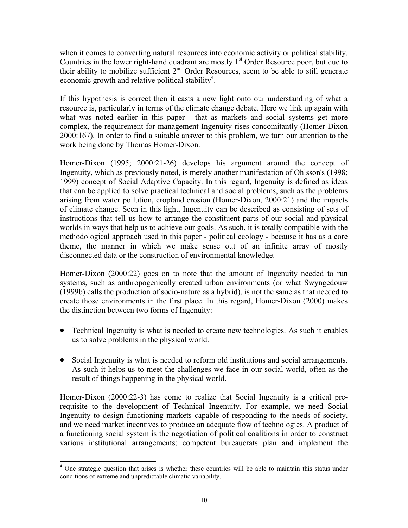when it comes to converting natural resources into economic activity or political stability. Countries in the lower right-hand quadrant are mostly  $1<sup>st</sup>$  Order Resource poor, but due to their ability to mobilize sufficient  $2<sup>nd</sup>$  Order Resources, seem to be able to still generate economic growth and relative political stability<sup>4</sup>.

If this hypothesis is correct then it casts a new light onto our understanding of what a resource is, particularly in terms of the climate change debate. Here we link up again with what was noted earlier in this paper - that as markets and social systems get more complex, the requirement for management Ingenuity rises concomitantly (Homer-Dixon 2000:167). In order to find a suitable answer to this problem, we turn our attention to the work being done by Thomas Homer-Dixon.

Homer-Dixon (1995; 2000:21-26) develops his argument around the concept of Ingenuity, which as previously noted, is merely another manifestation of Ohlsson's (1998; 1999) concept of Social Adaptive Capacity. In this regard, Ingenuity is defined as ideas that can be applied to solve practical technical and social problems, such as the problems arising from water pollution, cropland erosion (Homer-Dixon, 2000:21) and the impacts of climate change. Seen in this light, Ingenuity can be described as consisting of sets of instructions that tell us how to arrange the constituent parts of our social and physical worlds in ways that help us to achieve our goals. As such, it is totally compatible with the methodological approach used in this paper - political ecology - because it has as a core theme, the manner in which we make sense out of an infinite array of mostly disconnected data or the construction of environmental knowledge.

Homer-Dixon (2000:22) goes on to note that the amount of Ingenuity needed to run systems, such as anthropogenically created urban environments (or what Swyngedouw (1999b) calls the production of socio-nature as a hybrid), is not the same as that needed to create those environments in the first place. In this regard, Homer-Dixon (2000) makes the distinction between two forms of Ingenuity:

- Technical Ingenuity is what is needed to create new technologies. As such it enables us to solve problems in the physical world.
- Social Ingenuity is what is needed to reform old institutions and social arrangements. As such it helps us to meet the challenges we face in our social world, often as the result of things happening in the physical world.

Homer-Dixon (2000:22-3) has come to realize that Social Ingenuity is a critical prerequisite to the development of Technical Ingenuity. For example, we need Social Ingenuity to design functioning markets capable of responding to the needs of society, and we need market incentives to produce an adequate flow of technologies. A product of a functioning social system is the negotiation of political coalitions in order to construct various institutional arrangements; competent bureaucrats plan and implement the

<span id="page-9-0"></span> $\overline{a}$ <sup>4</sup> One strategic question that arises is whether these countries will be able to maintain this status under conditions of extreme and unpredictable climatic variability.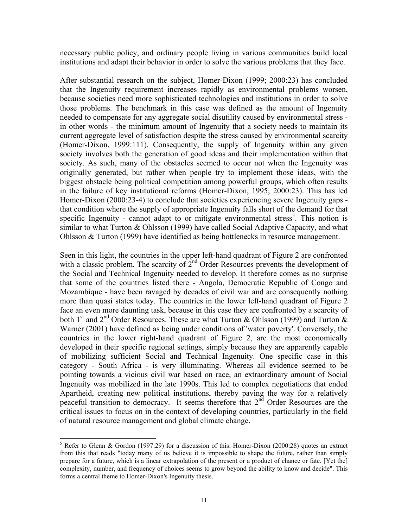necessary public policy, and ordinary people living in various communities build local institutions and adapt their behavior in order to solve the various problems that they face.

After substantial research on the subject, Homer-Dixon (1999; 2000:23) has concluded that the Ingenuity requirement increases rapidly as environmental problems worsen, because societies need more sophisticated technologies and institutions in order to solve those problems. The benchmark in this case was defined as the amount of Ingenuity needed to compensate for any aggregate social disutility caused by environmental stress in other words - the minimum amount of Ingenuity that a society needs to maintain its current aggregate level of satisfaction despite the stress caused by environmental scarcity (Homer-Dixon, 1999:111). Consequently, the supply of Ingenuity within any given society involves both the generation of good ideas and their implementation within that society. As such, many of the obstacles seemed to occur not when the Ingenuity was originally generated, but rather when people try to implement those ideas, with the biggest obstacle being political competition among powerful groups, which often results in the failure of key institutional reforms (Homer-Dixon, 1995; 2000:23). This has led Homer-Dixon (2000:23-4) to conclude that societies experiencing severe Ingenuity gaps that condition where the supply of appropriate Ingenuity falls short of the demand for that specific Ingenuity - cannot adapt to or mitigate environmental stress<sup>[5](#page-10-0)</sup>. This notion is similar to what Turton & Ohlsson (1999) have called Social Adaptive Capacity, and what Ohlsson & Turton (1999) have identified as being bottlenecks in resource management.

Seen in this light, the countries in the upper left-hand quadrant of Figure 2 are confronted with a classic problem. The scarcity of  $2<sup>nd</sup>$  Order Resources prevents the development of the Social and Technical Ingenuity needed to develop. It therefore comes as no surprise that some of the countries listed there - Angola, Democratic Republic of Congo and Mozambique - have been ravaged by decades of civil war and are consequently nothing more than quasi states today. The countries in the lower left-hand quadrant of Figure 2 face an even more daunting task, because in this case they are confronted by a scarcity of both 1<sup>st</sup> and 2<sup>nd</sup> Order Resources. These are what Turton & Ohlsson (1999) and Turton & Warner (2001) have defined as being under conditions of 'water poverty'. Conversely, the countries in the lower right-hand quadrant of Figure 2, are the most economically developed in their specific regional settings, simply because they are apparently capable of mobilizing sufficient Social and Technical Ingenuity. One specific case in this category - South Africa - is very illuminating. Whereas all evidence seemed to be pointing towards a vicious civil war based on race, an extraordinary amount of Social Ingenuity was mobilized in the late 1990s. This led to complex negotiations that ended Apartheid, creating new political institutions, thereby paving the way for a relatively peaceful transition to democracy. It seems therefore that  $2<sup>nd</sup>$  Order Resources are the critical issues to focus on in the context of developing countries, particularly in the field of natural resource management and global climate change.

<span id="page-10-0"></span> <sup>5</sup> <sup>5</sup> Refer to Glenn & Gordon (1997:29) for a discussion of this. Homer-Dixon (2000:28) quotes an extract from this that reads "today many of us believe it is impossible to shape the future, rather than simply prepare for a future, which is a linear extrapolation of the present or a product of chance or fate. [Yet the] complexity, number, and frequency of choices seems to grow beyond the ability to know and decide". This forms a central theme to Homer-Dixon's Ingenuity thesis.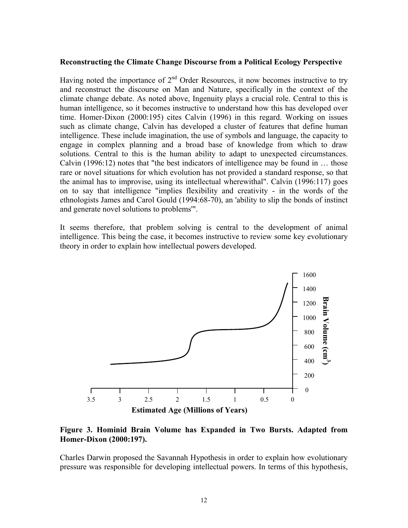#### **Reconstructing the Climate Change Discourse from a Political Ecology Perspective**

Having noted the importance of  $2<sup>nd</sup>$  Order Resources, it now becomes instructive to try and reconstruct the discourse on Man and Nature, specifically in the context of the climate change debate. As noted above, Ingenuity plays a crucial role. Central to this is human intelligence, so it becomes instructive to understand how this has developed over time. Homer-Dixon (2000:195) cites Calvin (1996) in this regard. Working on issues such as climate change, Calvin has developed a cluster of features that define human intelligence. These include imagination, the use of symbols and language, the capacity to engage in complex planning and a broad base of knowledge from which to draw solutions. Central to this is the human ability to adapt to unexpected circumstances. Calvin (1996:12) notes that "the best indicators of intelligence may be found in … those rare or novel situations for which evolution has not provided a standard response, so that the animal has to improvise, using its intellectual wherewithal". Calvin (1996:117) goes on to say that intelligence "implies flexibility and creativity - in the words of the ethnologists James and Carol Gould (1994:68-70), an 'ability to slip the bonds of instinct and generate novel solutions to problems'".

It seems therefore, that problem solving is central to the development of animal intelligence. This being the case, it becomes instructive to review some key evolutionary theory in order to explain how intellectual powers developed.



## **Figure 3. Hominid Brain Volume has Expanded in Two Bursts. Adapted from Homer-Dixon (2000:197).**

Charles Darwin proposed the Savannah Hypothesis in order to explain how evolutionary pressure was responsible for developing intellectual powers. In terms of this hypothesis,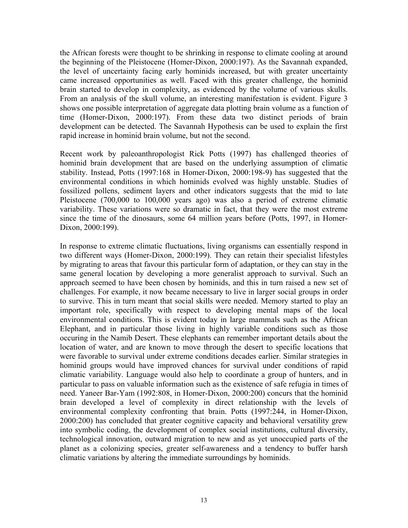the African forests were thought to be shrinking in response to climate cooling at around the beginning of the Pleistocene (Homer-Dixon, 2000:197). As the Savannah expanded, the level of uncertainty facing early hominids increased, but with greater uncertainty came increased opportunities as well. Faced with this greater challenge, the hominid brain started to develop in complexity, as evidenced by the volume of various skulls. From an analysis of the skull volume, an interesting manifestation is evident. Figure 3 shows one possible interpretation of aggregate data plotting brain volume as a function of time (Homer-Dixon, 2000:197). From these data two distinct periods of brain development can be detected. The Savannah Hypothesis can be used to explain the first rapid increase in hominid brain volume, but not the second.

Recent work by paleoanthropologist Rick Potts (1997) has challenged theories of hominid brain development that are based on the underlying assumption of climatic stability. Instead, Potts (1997:168 in Homer-Dixon, 2000:198-9) has suggested that the environmental conditions in which hominids evolved was highly unstable. Studies of fossilized pollens, sediment layers and other indicators suggests that the mid to late Pleistocene (700,000 to 100,000 years ago) was also a period of extreme climatic variability. These variations were so dramatic in fact, that they were the most extreme since the time of the dinosaurs, some 64 million years before (Potts, 1997, in Homer-Dixon, 2000:199).

In response to extreme climatic fluctuations, living organisms can essentially respond in two different ways (Homer-Dixon, 2000:199). They can retain their specialist lifestyles by migrating to areas that favour this particular form of adaptation, or they can stay in the same general location by developing a more generalist approach to survival. Such an approach seemed to have been chosen by hominids, and this in turn raised a new set of challenges. For example, it now became necessary to live in larger social groups in order to survive. This in turn meant that social skills were needed. Memory started to play an important role, specifically with respect to developing mental maps of the local environmental conditions. This is evident today in large mammals such as the African Elephant, and in particular those living in highly variable conditions such as those occuring in the Namib Desert. These elephants can remember important details about the location of water, and are known to move through the desert to specific locations that were favorable to survival under extreme conditions decades earlier. Similar strategies in hominid groups would have improved chances for survival under conditions of rapid climatic variability. Language would also help to coordinate a group of hunters, and in particular to pass on valuable information such as the existence of safe refugia in times of need. Yaneer Bar-Yam (1992:808, in Homer-Dixon, 2000:200) concurs that the hominid brain developed a level of complexity in direct relationship with the levels of environmental complexity confronting that brain. Potts (1997:244, in Homer-Dixon, 2000:200) has concluded that greater cognitive capacity and behavioral versatility grew into symbolic coding, the development of complex social institutions, cultural diversity, technological innovation, outward migration to new and as yet unoccupied parts of the planet as a colonizing species, greater self-awareness and a tendency to buffer harsh climatic variations by altering the immediate surroundings by hominids.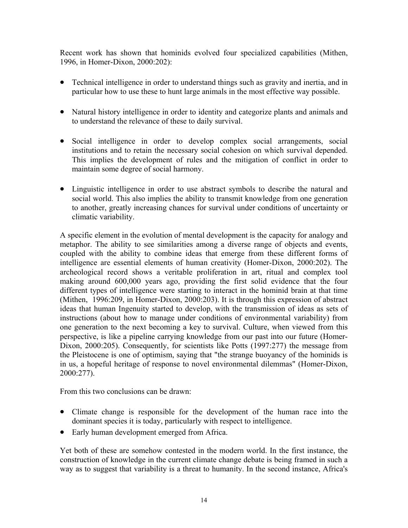Recent work has shown that hominids evolved four specialized capabilities (Mithen, 1996, in Homer-Dixon, 2000:202):

- Technical intelligence in order to understand things such as gravity and inertia, and in particular how to use these to hunt large animals in the most effective way possible.
- Natural history intelligence in order to identity and categorize plants and animals and to understand the relevance of these to daily survival.
- Social intelligence in order to develop complex social arrangements, social institutions and to retain the necessary social cohesion on which survival depended. This implies the development of rules and the mitigation of conflict in order to maintain some degree of social harmony.
- Linguistic intelligence in order to use abstract symbols to describe the natural and social world. This also implies the ability to transmit knowledge from one generation to another, greatly increasing chances for survival under conditions of uncertainty or climatic variability.

A specific element in the evolution of mental development is the capacity for analogy and metaphor. The ability to see similarities among a diverse range of objects and events, coupled with the ability to combine ideas that emerge from these different forms of intelligence are essential elements of human creativity (Homer-Dixon, 2000:202). The archeological record shows a veritable proliferation in art, ritual and complex tool making around 600,000 years ago, providing the first solid evidence that the four different types of intelligence were starting to interact in the hominid brain at that time (Mithen, 1996:209, in Homer-Dixon, 2000:203). It is through this expression of abstract ideas that human Ingenuity started to develop, with the transmission of ideas as sets of instructions (about how to manage under conditions of environmental variability) from one generation to the next becoming a key to survival. Culture, when viewed from this perspective, is like a pipeline carrying knowledge from our past into our future (Homer-Dixon, 2000:205). Consequently, for scientists like Potts (1997:277) the message from the Pleistocene is one of optimism, saying that "the strange buoyancy of the hominids is in us, a hopeful heritage of response to novel environmental dilemmas" (Homer-Dixon, 2000:277).

From this two conclusions can be drawn:

- Climate change is responsible for the development of the human race into the dominant species it is today, particularly with respect to intelligence.
- Early human development emerged from Africa.

Yet both of these are somehow contested in the modern world. In the first instance, the construction of knowledge in the current climate change debate is being framed in such a way as to suggest that variability is a threat to humanity. In the second instance, Africa's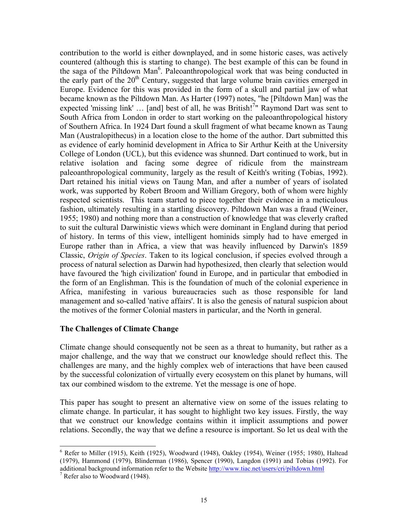contribution to the world is either downplayed, and in some historic cases, was actively countered (although this is starting to change). The best example of this can be found in the saga of the Piltdown Man<sup>6</sup>. Paleoanthropological work that was being conducted in the early part of the  $20<sup>th</sup>$  Century, suggested that large volume brain cavities emerged in Europe. Evidence for this was provided in the form of a skull and partial jaw of what became known as the Piltdown Man. As Harter (1997) notes, "he [Piltdown Man] was the expected 'missing link' ... [and] best of all, he was British!<sup>7</sup>" Raymond Dart was sent to South Africa from London in order to start working on the paleoanthropological history of Southern Africa. In 1924 Dart found a skull fragment of what became known as Taung Man (Australopithecus) in a location close to the home of the author. Dart submitted this as evidence of early hominid development in Africa to Sir Arthur Keith at the University College of London (UCL), but this evidence was shunned. Dart continued to work, but in relative isolation and facing some degree of ridicule from the mainstream paleoanthropological community, largely as the result of Keith's writing (Tobias, 1992). Dart retained his initial views on Taung Man, and after a number of years of isolated work, was supported by Robert Broom and William Gregory, both of whom were highly respected scientists. This team started to piece together their evidence in a meticulous fashion, ultimately resulting in a startling discovery. Piltdown Man was a fraud (Weiner, 1955; 1980) and nothing more than a construction of knowledge that was cleverly crafted to suit the cultural Darwinistic views which were dominant in England during that period of history. In terms of this view, intelligent hominids simply had to have emerged in Europe rather than in Africa, a view that was heavily influenced by Darwin's 1859 Classic, *Origin of Species*. Taken to its logical conclusion, if species evolved through a process of natural selection as Darwin had hypothesized, then clearly that selection would have favoured the 'high civilization' found in Europe, and in particular that embodied in the form of an Englishman. This is the foundation of much of the colonial experience in Africa, manifesting in various bureaucracies such as those responsible for land management and so-called 'native affairs'. It is also the genesis of natural suspicion about the motives of the former Colonial masters in particular, and the North in general.

#### **The Challenges of Climate Change**

Climate change should consequently not be seen as a threat to humanity, but rather as a major challenge, and the way that we construct our knowledge should reflect this. The challenges are many, and the highly complex web of interactions that have been caused by the successful colonization of virtually every ecosystem on this planet by humans, will tax our combined wisdom to the extreme. Yet the message is one of hope.

This paper has sought to present an alternative view on some of the issues relating to climate change. In particular, it has sought to highlight two key issues. Firstly, the way that we construct our knowledge contains within it implicit assumptions and power relations. Secondly, the way that we define a resource is important. So let us deal with the

<span id="page-14-0"></span> <sup>6</sup>  $6$  Refer to Miller (1915), Keith (1925), Woodward (1948), Oakley (1954), Weiner (1955; 1980), Haltead (1979), Hammond (1979), Blinderman (1986), Spencer (1990), Langdon (1991) and Tobias (1992). For additional background information refer to the Website [http://www.tiac.net/users/cri/piltdown.html](http://www.tiac.net/users/cri/poltdown.html)

<span id="page-14-1"></span> $7$  Refer also to Woodward (1948).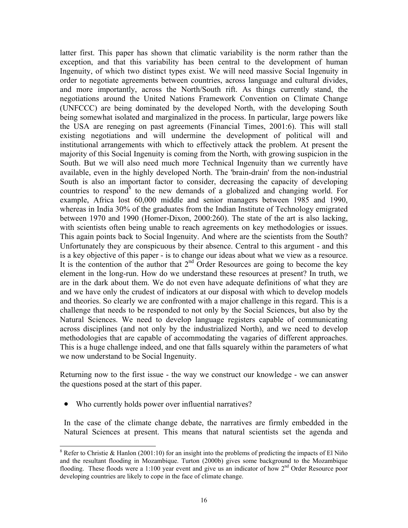latter first. This paper has shown that climatic variability is the norm rather than the exception, and that this variability has been central to the development of human Ingenuity, of which two distinct types exist. We will need massive Social Ingenuity in order to negotiate agreements between countries, across language and cultural divides, and more importantly, across the North/South rift. As things currently stand, the negotiations around the United Nations Framework Convention on Climate Change (UNFCCC) are being dominated by the developed North, with the developing South being somewhat isolated and marginalized in the process. In particular, large powers like the USA are reneging on past agreements (Financial Times, 2001:6). This will stall existing negotiations and will undermine the development of political will and institutional arrangements with which to effectively attack the problem. At present the majority of this Social Ingenuity is coming from the North, with growing suspicion in the South. But we will also need much more Technical Ingenuity than we currently have available, even in the highly developed North. The 'brain-drain' from the non-industrial South is also an important factor to consider, decreasing the capacity of developing countries to respond<sup>8</sup> to the new demands of a globalized and changing world. For example, Africa lost 60,000 middle and senior managers between 1985 and 1990, whereas in India 30% of the graduates from the Indian Institute of Technology emigrated between 1970 and 1990 (Homer-Dixon, 2000:260). The state of the art is also lacking, with scientists often being unable to reach agreements on key methodologies or issues. This again points back to Social Ingenuity. And where are the scientists from the South? Unfortunately they are conspicuous by their absence. Central to this argument - and this is a key objective of this paper - is to change our ideas about what we view as a resource. It is the contention of the author that  $2<sup>nd</sup>$  Order Resources are going to become the key element in the long-run. How do we understand these resources at present? In truth, we are in the dark about them. We do not even have adequate definitions of what they are and we have only the crudest of indicators at our disposal with which to develop models and theories. So clearly we are confronted with a major challenge in this regard. This is a challenge that needs to be responded to not only by the Social Sciences, but also by the Natural Sciences. We need to develop language registers capable of communicating across disciplines (and not only by the industrialized North), and we need to develop methodologies that are capable of accommodating the vagaries of different approaches. This is a huge challenge indeed, and one that falls squarely within the parameters of what we now understand to be Social Ingenuity.

Returning now to the first issue - the way we construct our knowledge - we can answer the questions posed at the start of this paper.

• Who currently holds power over influential narratives?

In the case of the climate change debate, the narratives are firmly embedded in the Natural Sciences at present. This means that natural scientists set the agenda and

<span id="page-15-0"></span><sup>&</sup>lt;sup>8</sup> Refer to Christie & Hanlon (2001:10) for an insight into the problems of predicting the impacts of El Niño and the resultant flooding in Mozambique. Turton (2000b) gives some background to the Mozambique flooding. These floods were a 1:100 year event and give us an indicator of how 2<sup>nd</sup> Order Resource poor developing countries are likely to cope in the face of climate change.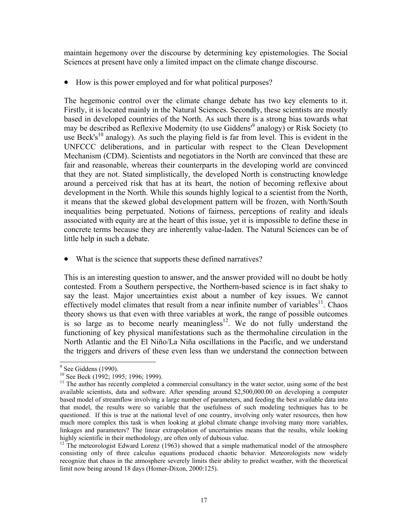maintain hegemony over the discourse by determining key epistemologies. The Social Sciences at present have only a limited impact on the climate change discourse.

• How is this power employed and for what political purposes?

The hegemonic control over the climate change debate has two key elements to it. Firstly, it is located mainly in the Natural Sciences. Secondly, these scientists are mostly based in developed countries of the North. As such there is a strong bias towards what may be described as Reflexive Modernity (to use Giddens<sup>1[9](#page-16-0)</sup> analogy) or Risk Society (to use Beck's<sup>10</sup> analogy). As such the playing field is far from level. This is evident in the UNFCCC deliberations, and in particular with respect to the Clean Development Mechanism (CDM). Scientists and negotiators in the North are convinced that these are fair and reasonable, whereas their counterparts in the developing world are convinced that they are not. Stated simplistically, the developed North is constructing knowledge around a perceived risk that has at its heart, the notion of becoming reflexive about development in the North. While this sounds highly logical to a scientist from the North, it means that the skewed global development pattern will be frozen, with North/South inequalities being perpetuated. Notions of fairness, perceptions of reality and ideals associated with equity are at the heart of this issue, yet it is impossible to define these in concrete terms because they are inherently value-laden. The Natural Sciences can be of little help in such a debate.

• What is the science that supports these defined narratives?

This is an interesting question to answer, and the answer provided will no doubt be hotly contested. From a Southern perspective, the Northern-based science is in fact shaky to say the least. Major uncertainties exist about a number of key issues. We cannot effectively model climates that result from a near infinite number of variables<sup>11</sup>. Chaos theory shows us that even with three variables at work, the range of possible outcomes is so large as to become nearly meaningless $12$ . We do not fully understand the functioning of key physical manifestations such as the thermohaline circulation in the North Atlantic and the El Niño/La Niña oscillations in the Pacific, and we understand the triggers and drivers of these even less than we understand the connection between

<span id="page-16-0"></span><sup>.&</sup>lt;br>9

<span id="page-16-2"></span><span id="page-16-1"></span>

<sup>&</sup>lt;sup>10</sup> See Beck (1992; 1995; 1996; 1999). <sup>11</sup> The author has recently completed a commercial consultancy in the water sector, using some of the best available scientists, data and software. After spending around \$2,500,000.00 on developing a computer based model of streamflow involving a large number of parameters, and feeding the best available data into that model, the results were so variable that the usefulness of such modeling techniques has to be questioned. If this is true at the national level of one country, involving only water resources, then how much more complex this task is when looking at global climate change involving many more variables, linkages and parameters? The linear extrapolation of uncertainties means that the results, while looking highly scientific in their methodology, are often only of dubious value.

<span id="page-16-3"></span> $12$  The meteorologist Edward Lorenz (1963) showed that a simple mathematical model of the atmosphere consisting only of three calculus equations produced chaotic behavior. Meteorologists now widely recognize that chaos in the atmosphere severely limits their ability to predict weather, with the theoretical limit now being around 18 days (Homer-Dixon, 2000:125).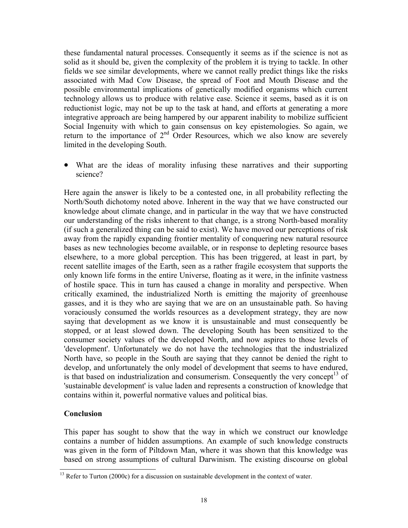these fundamental natural processes. Consequently it seems as if the science is not as solid as it should be, given the complexity of the problem it is trying to tackle. In other fields we see similar developments, where we cannot really predict things like the risks associated with Mad Cow Disease, the spread of Foot and Mouth Disease and the possible environmental implications of genetically modified organisms which current technology allows us to produce with relative ease. Science it seems, based as it is on reductionist logic, may not be up to the task at hand, and efforts at generating a more integrative approach are being hampered by our apparent inability to mobilize sufficient Social Ingenuity with which to gain consensus on key epistemologies. So again, we return to the importance of  $2<sup>nd</sup>$  Order Resources, which we also know are severely limited in the developing South.

• What are the ideas of morality infusing these narratives and their supporting science?

Here again the answer is likely to be a contested one, in all probability reflecting the North/South dichotomy noted above. Inherent in the way that we have constructed our knowledge about climate change, and in particular in the way that we have constructed our understanding of the risks inherent to that change, is a strong North-based morality (if such a generalized thing can be said to exist). We have moved our perceptions of risk away from the rapidly expanding frontier mentality of conquering new natural resource bases as new technologies become available, or in response to depleting resource bases elsewhere, to a more global perception. This has been triggered, at least in part, by recent satellite images of the Earth, seen as a rather fragile ecosystem that supports the only known life forms in the entire Universe, floating as it were, in the infinite vastness of hostile space. This in turn has caused a change in morality and perspective. When critically examined, the industrialized North is emitting the majority of greenhouse gasses, and it is they who are saying that we are on an unsustainable path. So having voraciously consumed the worlds resources as a development strategy, they are now saying that development as we know it is unsustainable and must consequently be stopped, or at least slowed down. The developing South has been sensitized to the consumer society values of the developed North, and now aspires to those levels of 'development'. Unfortunately we do not have the technologies that the industrialized North have, so people in the South are saying that they cannot be denied the right to develop, and unfortunately the only model of development that seems to have endured, is that based on industrialization and consumerism. Consequently the very concept<sup>13</sup> of 'sustainable development' is value laden and represents a construction of knowledge that contains within it, powerful normative values and political bias.

# **Conclusion**

 $\overline{a}$ 

This paper has sought to show that the way in which we construct our knowledge contains a number of hidden assumptions. An example of such knowledge constructs was given in the form of Piltdown Man, where it was shown that this knowledge was based on strong assumptions of cultural Darwinism. The existing discourse on global

<span id="page-17-0"></span> $13$  Refer to Turton (2000c) for a discussion on sustainable development in the context of water.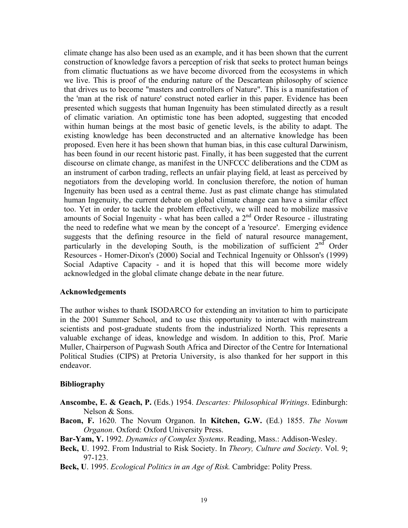climate change has also been used as an example, and it has been shown that the current construction of knowledge favors a perception of risk that seeks to protect human beings from climatic fluctuations as we have become divorced from the ecosystems in which we live. This is proof of the enduring nature of the Descartean philosophy of science that drives us to become "masters and controllers of Nature". This is a manifestation of the 'man at the risk of nature' construct noted earlier in this paper. Evidence has been presented which suggests that human Ingenuity has been stimulated directly as a result of climatic variation. An optimistic tone has been adopted, suggesting that encoded within human beings at the most basic of genetic levels, is the ability to adapt. The existing knowledge has been deconstructed and an alternative knowledge has been proposed. Even here it has been shown that human bias, in this case cultural Darwinism, has been found in our recent historic past. Finally, it has been suggested that the current discourse on climate change, as manifest in the UNFCCC deliberations and the CDM as an instrument of carbon trading, reflects an unfair playing field, at least as perceived by negotiators from the developing world. In conclusion therefore, the notion of human Ingenuity has been used as a central theme. Just as past climate change has stimulated human Ingenuity, the current debate on global climate change can have a similar effect too. Yet in order to tackle the problem effectively, we will need to mobilize massive amounts of Social Ingenuity - what has been called a 2<sup>nd</sup> Order Resource - illustrating the need to redefine what we mean by the concept of a 'resource'. Emerging evidence suggests that the defining resource in the field of natural resource management, particularly in the developing South, is the mobilization of sufficient  $2<sup>nd</sup>$  Order Resources - Homer-Dixon's (2000) Social and Technical Ingenuity or Ohlsson's (1999) Social Adaptive Capacity - and it is hoped that this will become more widely acknowledged in the global climate change debate in the near future.

#### **Acknowledgements**

The author wishes to thank ISODARCO for extending an invitation to him to participate in the 2001 Summer School, and to use this opportunity to interact with mainstream scientists and post-graduate students from the industrialized North. This represents a valuable exchange of ideas, knowledge and wisdom. In addition to this, Prof. Marie Muller, Chairperson of Pugwash South Africa and Director of the Centre for International Political Studies (CIPS) at Pretoria University, is also thanked for her support in this endeavor.

#### **Bibliography**

- **Anscombe, E. & Geach, P.** (Eds.) 1954. *Descartes: Philosophical Writings*. Edinburgh: Nelson & Sons.
- **Bacon, F.** 1620. The Novum Organon. In **Kitchen, G.W.** (Ed.) 1855. *The Novum Organon*. Oxford: Oxford University Press.
- **Bar-Yam, Y.** 1992. *Dynamics of Complex Systems*. Reading, Mass.: Addison-Wesley.
- **Beck, U**. 1992. From Industrial to Risk Society. In *Theory, Culture and Society*. Vol. 9; 97-123.
- **Beck, U**. 1995. *Ecological Politics in an Age of Risk.* Cambridge: Polity Press.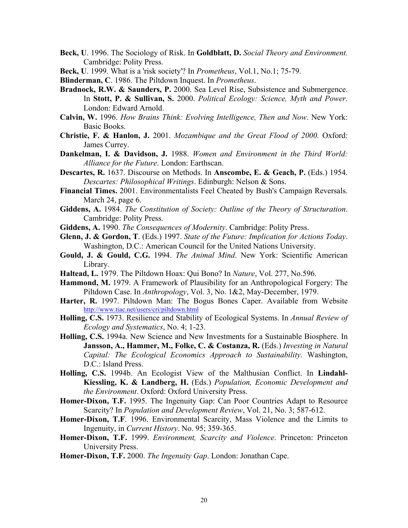- **Beck, U**. 1996. The Sociology of Risk. In **Goldblatt, D.** *Social Theory and Environment.* Cambridge: Polity Press.
- **Beck, U**. 1999. What is a 'risk society'? In *Prometheus*, Vol.1, No.1; 75-79.
- **Blinderman, C**. 1986. The Piltdown Inquest. In *Prometheus*.
- **Bradnock, R.W. & Saunders, P.** 2000. Sea Level Rise, Subsistence and Submergence. In **Stott, P. & Sullivan, S.** 2000. *Political Ecology: Science, Myth and Power*. London: Edward Arnold.
- **Calvin, W.** 1996. *How Brains Think: Evolving Intelligence, Then and Now*. New York: Basic Books.
- **Christie, F. & Hanlon, J.** 2001. *Mozambique and the Great Flood of 2000.* Oxford: James Currey.
- **Dankelman, I. & Davidson, J.** 1988. *Women and Environment in the Third World: Alliance for the Future*. London: Earthscan.
- **Descartes, R.** 1637. Discourse on Methods. In **Anscombe, E. & Geach, P.** (Eds.) 1954. *Descartes: Philosophical Writings*. Edinburgh: Nelson & Sons.
- **Financial Times.** 2001. Environmentalists Feel Cheated by Bush's Campaign Reversals. March 24, page 6.
- **Giddens, A.** 1984. *The Constitution of Society: Outline of the Theory of Structuration*. Cambridge: Polity Press.
- **Giddens, A.** 1990. *The Consequences of Modernity*. Cambridge: Polity Press.
- **Glenn, J. & Gordon, T**. (Eds.) 1997. *State of the Future: Implication for Actions Today*. Washington, D.C.: American Council for the United Nations University.
- **Gould, J. & Gould, C.G.** 1994. *The Animal Mind*. New York: Scientific American Library.
- **Haltead, L.** 1979. The Piltdown Hoax: Qui Bono? In *Nature*, Vol. 277, No.596.
- **Hammond, M.** 1979. A Framework of Plausibility for an Anthropological Forgery: The Piltdown Case. In *Anthropology*, Vol. 3, No. 1&2, May-December, 1979.
- **Harter, R.** 1997. Piltdown Man: The Bogus Bones Caper. Available from Website <http://www.tiac.net/users/cri/piltdown.html>
- **Holling, C.S.** 1973. Resilience and Stability of Ecological Systems. In *Annual Review of Ecology and Systematics*, No. 4; 1-23.
- **Holling, C.S.** 1994a. New Science and New Investments for a Sustainable Biosphere. In **Jansson, A., Hammer, M., Folke, C. & Costanza, R.** (Eds.) *Investing in Natural Capital: The Ecological Economics Approach to Sustainability.* Washington, D.C.: Island Press.
- **Holling, C.S.** 1994b. An Ecologist View of the Malthusian Conflict. In **Lindahl-Kiessling, K. & Landberg, H.** (Eds.) *Population, Economic Development and the Environment*. Oxford: Oxford University Press.
- **Homer-Dixon, T.F.** 1995. The Ingenuity Gap: Can Poor Countries Adapt to Resource Scarcity? In *Population and Development Review*, Vol. 21, No. 3; 587-612.
- **Homer-Dixon, T.F**. 1996. Environmental Scarcity, Mass Violence and the Limits to Ingenuity, in *Current History*. No. 95; 359-365.
- **Homer-Dixon, T.F.** 1999. *Environment, Scarcity and Violence*. Princeton: Princeton University Press.
- **Homer-Dixon, T.F.** 2000. *The Ingenuity Gap*. London: Jonathan Cape.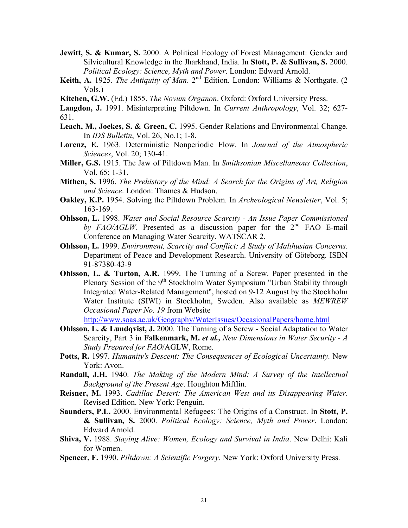- **Jewitt, S. & Kumar, S.** 2000. A Political Ecology of Forest Management: Gender and Silvicultural Knowledge in the Jharkhand, India. In **Stott, P. & Sullivan, S.** 2000. *Political Ecology: Science, Myth and Power*. London: Edward Arnold.
- Keith, A. 1925. The Antiquity of Man. 2<sup>nd</sup> Edition. London: Williams & Northgate. (2 Vols.)
- **Kitchen, G.W.** (Ed.) 1855. *The Novum Organon*. Oxford: Oxford University Press.
- **Langdon, J.** 1991. Misinterpreting Piltdown. In *Current Anthropology*, Vol. 32; 627- 631.
- **Leach, M., Joekes, S. & Green, C.** 1995. Gender Relations and Environmental Change. In *IDS Bulletin*, Vol. 26, No.1; 1-8.
- **Lorenz, E.** 1963. Deterministic Nonperiodic Flow. In *Journal of the Atmospheric Sciences*, Vol. 20; 130-41.
- **Miller, G.S.** 1915. The Jaw of Piltdown Man. In *Smithsonian Miscellaneous Collection*, Vol. 65; 1-31.
- **Mithen, S.** 1996. *The Prehistory of the Mind: A Search for the Origins of Art, Religion and Science*. London: Thames & Hudson.
- **Oakley, K.P.** 1954. Solving the Piltdown Problem. In *Archeological Newsletter*, Vol. 5; 163-169.
- **Ohlsson, L.** 1998. *Water and Social Resource Scarcity An Issue Paper Commissioned by FAO/AGLW*. Presented as a discussion paper for the  $2<sup>nd</sup>$  FAO E-mail Conference on Managing Water Scarcity. WATSCAR 2.
- **Ohlsson, L.** 1999. *Environment, Scarcity and Conflict: A Study of Malthusian Concerns*. Department of Peace and Development Research. University of Göteborg. ISBN 91-87380-43-9
- **Ohlsson, L. & Turton, A.R.** 1999. The Turning of a Screw. Paper presented in the Plenary Session of the 9<sup>th</sup> Stockholm Water Symposium "Urban Stability through Integrated Water-Related Management", hosted on 9-12 August by the Stockholm Water Institute (SIWI) in Stockholm, Sweden. Also available as *MEWREW Occasional Paper No. 19* from Website

<http://www.soas.ac.uk/Geography/WaterIssues/OccasionalPapers/home.html>

- **Ohlsson, L. & Lundqvist, J.** 2000. The Turning of a Screw Social Adaptation to Water Scarcity, Part 3 in **Falkenmark, M.** *et al., New Dimensions in Water Security - A Study Prepared for FAO*/AGLW, Rome.
- **Potts, R.** 1997. *Humanity's Descent: The Consequences of Ecological Uncertainty.* New York: Avon.
- **Randall, J.H.** 1940. *The Making of the Modern Mind: A Survey of the Intellectual Background of the Present Age*. Houghton Mifflin.
- **Reisner, M.** 1993. *Cadillac Desert: The American West and its Disappearing Water*. Revised Edition. New York: Penguin.
- **Saunders, P.L.** 2000. Environmental Refugees: The Origins of a Construct. In **Stott, P. & Sullivan, S.** 2000. *Political Ecology: Science, Myth and Power*. London: Edward Arnold.
- **Shiva, V.** 1988. *Staying Alive: Women, Ecology and Survival in India*. New Delhi: Kali for Women.
- **Spencer, F.** 1990. *Piltdown: A Scientific Forgery*. New York: Oxford University Press.